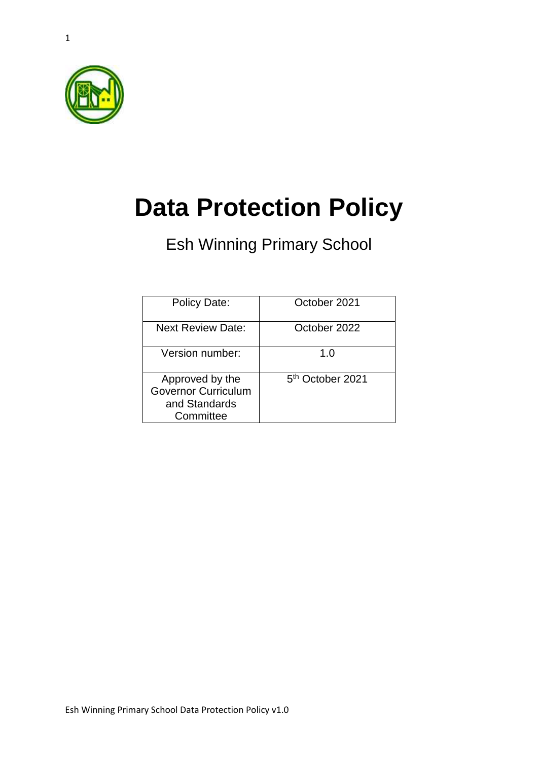

1

# **Data Protection Policy**

Esh Winning Primary School

| Policy Date:                                                                | October 2021                 |
|-----------------------------------------------------------------------------|------------------------------|
| <b>Next Review Date:</b>                                                    | October 2022                 |
| Version number:                                                             | 1. $\Omega$                  |
| Approved by the<br><b>Governor Curriculum</b><br>and Standards<br>Committee | 5 <sup>th</sup> October 2021 |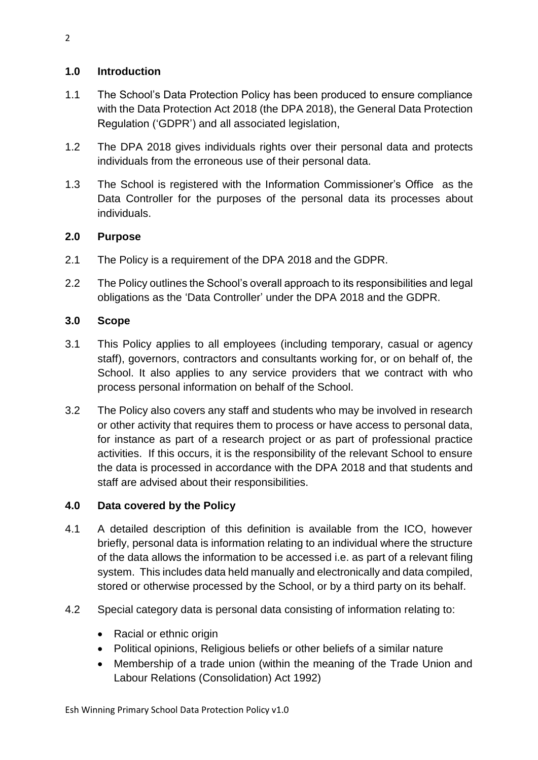## **1.0 Introduction**

- 1.1 The School's Data Protection Policy has been produced to ensure compliance with the Data Protection Act 2018 (the DPA 2018), the General Data Protection Regulation ('GDPR') and all associated legislation,
- 1.2 The DPA 2018 gives individuals rights over their personal data and protects individuals from the erroneous use of their personal data.
- 1.3 The School is registered with the Information Commissioner's Office as the Data Controller for the purposes of the personal data its processes about individuals.

## **2.0 Purpose**

- 2.1 The Policy is a requirement of the DPA 2018 and the GDPR.
- 2.2 The Policy outlines the School's overall approach to its responsibilities and legal obligations as the 'Data Controller' under the DPA 2018 and the GDPR.

## **3.0 Scope**

- 3.1 This Policy applies to all employees (including temporary, casual or agency staff), governors, contractors and consultants working for, or on behalf of, the School. It also applies to any service providers that we contract with who process personal information on behalf of the School.
- 3.2 The Policy also covers any staff and students who may be involved in research or other activity that requires them to process or have access to personal data, for instance as part of a research project or as part of professional practice activities. If this occurs, it is the responsibility of the relevant School to ensure the data is processed in accordance with the DPA 2018 and that students and staff are advised about their responsibilities.

## **4.0 Data covered by the Policy**

- 4.1 A detailed description of this definition is available from the ICO, however briefly, personal data is information relating to an individual where the structure of the data allows the information to be accessed i.e. as part of a relevant filing system. This includes data held manually and electronically and data compiled, stored or otherwise processed by the School, or by a third party on its behalf.
- 4.2 Special category data is personal data consisting of information relating to:
	- Racial or ethnic origin
	- Political opinions, Religious beliefs or other beliefs of a similar nature
	- Membership of a trade union (within the meaning of the Trade Union and Labour Relations (Consolidation) Act 1992)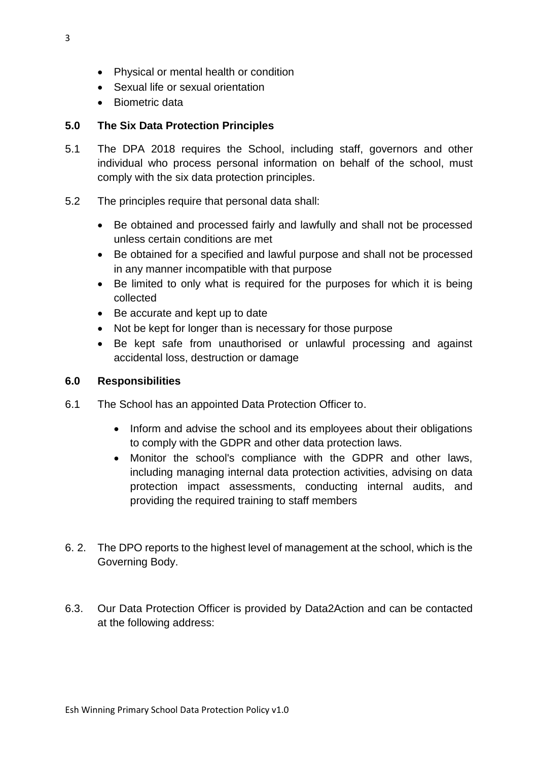- Physical or mental health or condition
- Sexual life or sexual orientation
- Biometric data

### **5.0 The Six Data Protection Principles**

- 5.1 The DPA 2018 requires the School, including staff, governors and other individual who process personal information on behalf of the school, must comply with the six data protection principles.
- 5.2 The principles require that personal data shall:
	- Be obtained and processed fairly and lawfully and shall not be processed unless certain conditions are met
	- Be obtained for a specified and lawful purpose and shall not be processed in any manner incompatible with that purpose
	- Be limited to only what is required for the purposes for which it is being collected
	- Be accurate and kept up to date
	- Not be kept for longer than is necessary for those purpose
	- Be kept safe from unauthorised or unlawful processing and against accidental loss, destruction or damage

#### **6.0 Responsibilities**

- 6.1 The School has an appointed Data Protection Officer to.
	- Inform and advise the school and its employees about their obligations to comply with the GDPR and other data protection laws.
	- Monitor the school's compliance with the GDPR and other laws, including managing internal data protection activities, advising on data protection impact assessments, conducting internal audits, and providing the required training to staff members
- 6. 2. The DPO reports to the highest level of management at the school, which is the Governing Body.
- 6.3. Our Data Protection Officer is provided by Data2Action and can be contacted at the following address: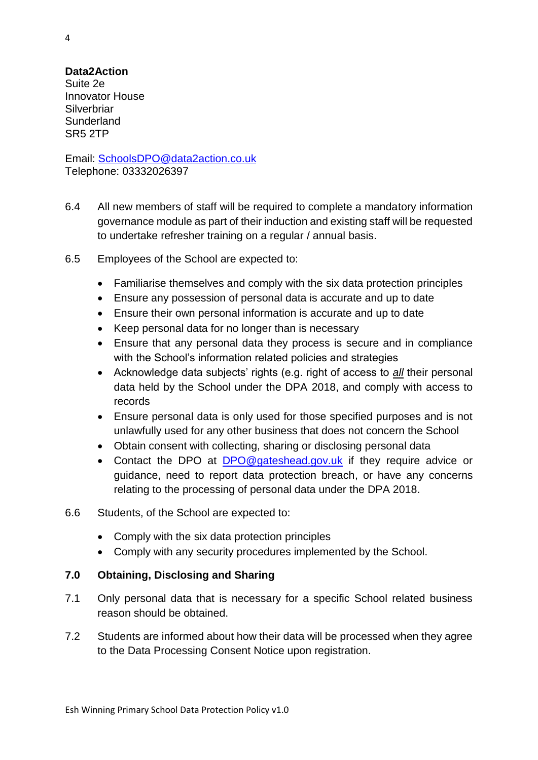#### **Data2Action**

Suite 2e Innovator House **Silverbriar Sunderland** SR5 2TP

Email: [SchoolsDPO@data2action.co.uk](mailto:SchoolsDPO@data2action.co.uk) Telephone: 03332026397

- 6.4 All new members of staff will be required to complete a mandatory information governance module as part of their induction and existing staff will be requested to undertake refresher training on a regular / annual basis.
- 6.5 Employees of the School are expected to:
	- Familiarise themselves and comply with the six data protection principles
	- Ensure any possession of personal data is accurate and up to date
	- Ensure their own personal information is accurate and up to date
	- Keep personal data for no longer than is necessary
	- Ensure that any personal data they process is secure and in compliance with the School's information related policies and strategies
	- Acknowledge data subjects' rights (e.g. right of access to *all* their personal data held by the School under the DPA 2018, and comply with access to records
	- Ensure personal data is only used for those specified purposes and is not unlawfully used for any other business that does not concern the School
	- Obtain consent with collecting, sharing or disclosing personal data
	- Contact the DPO at [DPO@gateshead.gov.uk](mailto:DPO@gateshead.gov.uk) if they require advice or guidance, need to report data protection breach, or have any concerns relating to the processing of personal data under the DPA 2018.
- 6.6 Students, of the School are expected to:
	- Comply with the six data protection principles
	- Comply with any security procedures implemented by the School.

#### **7.0 Obtaining, Disclosing and Sharing**

- 7.1 Only personal data that is necessary for a specific School related business reason should be obtained.
- 7.2 Students are informed about how their data will be processed when they agree to the Data Processing Consent Notice upon registration.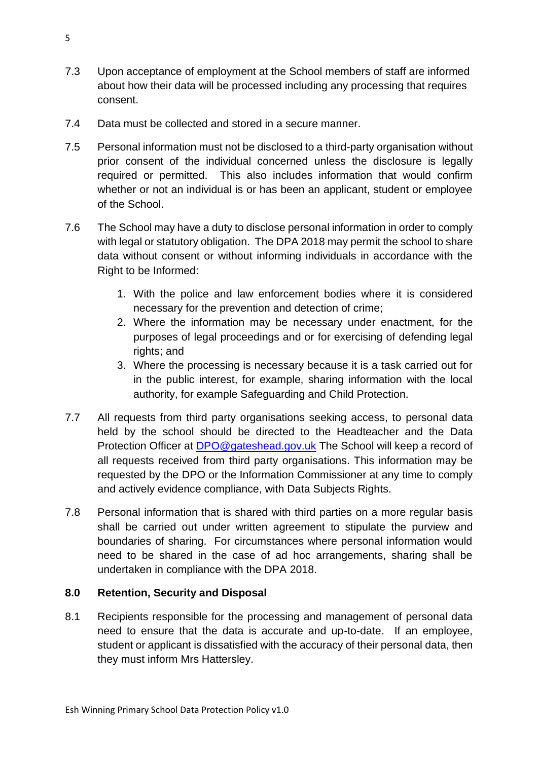- 7.3 Upon acceptance of employment at the School members of staff are informed about how their data will be processed including any processing that requires consent.
- 7.4 Data must be collected and stored in a secure manner.
- 7.5 Personal information must not be disclosed to a third-party organisation without prior consent of the individual concerned unless the disclosure is legally required or permitted. This also includes information that would confirm whether or not an individual is or has been an applicant, student or employee of the School.
- 7.6 The School may have a duty to disclose personal information in order to comply with legal or statutory obligation. The DPA 2018 may permit the school to share data without consent or without informing individuals in accordance with the Right to be Informed:
	- 1. With the police and law enforcement bodies where it is considered necessary for the prevention and detection of crime;
	- 2. Where the information may be necessary under enactment, for the purposes of legal proceedings and or for exercising of defending legal rights; and
	- 3. Where the processing is necessary because it is a task carried out for in the public interest, for example, sharing information with the local authority, for example Safeguarding and Child Protection.
- 7.7 All requests from third party organisations seeking access, to personal data held by the school should be directed to the Headteacher and the Data Protection Officer at **DPO@gateshead.gov.uk** The School will keep a record of all requests received from third party organisations. This information may be requested by the DPO or the Information Commissioner at any time to comply and actively evidence compliance, with Data Subjects Rights.
- 7.8 Personal information that is shared with third parties on a more regular basis shall be carried out under written agreement to stipulate the purview and boundaries of sharing. For circumstances where personal information would need to be shared in the case of ad hoc arrangements, sharing shall be undertaken in compliance with the DPA 2018.

## **8.0 Retention, Security and Disposal**

8.1 Recipients responsible for the processing and management of personal data need to ensure that the data is accurate and up-to-date. If an employee, student or applicant is dissatisfied with the accuracy of their personal data, then they must inform Mrs Hattersley.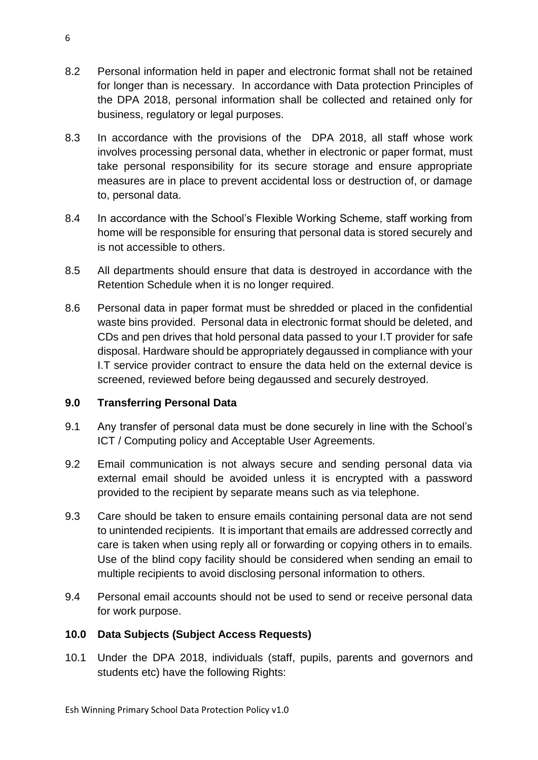- 8.2 Personal information held in paper and electronic format shall not be retained for longer than is necessary. In accordance with Data protection Principles of the DPA 2018, personal information shall be collected and retained only for business, regulatory or legal purposes.
- 8.3 In accordance with the provisions of the DPA 2018, all staff whose work involves processing personal data, whether in electronic or paper format, must take personal responsibility for its secure storage and ensure appropriate measures are in place to prevent accidental loss or destruction of, or damage to, personal data.
- 8.4 In accordance with the School's Flexible Working Scheme, staff working from home will be responsible for ensuring that personal data is stored securely and is not accessible to others.
- 8.5 All departments should ensure that data is destroyed in accordance with the Retention Schedule when it is no longer required.
- 8.6 Personal data in paper format must be shredded or placed in the confidential waste bins provided. Personal data in electronic format should be deleted, and CDs and pen drives that hold personal data passed to your I.T provider for safe disposal. Hardware should be appropriately degaussed in compliance with your I.T service provider contract to ensure the data held on the external device is screened, reviewed before being degaussed and securely destroyed.

## **9.0 Transferring Personal Data**

- 9.1 Any transfer of personal data must be done securely in line with the School's ICT / Computing policy and Acceptable User Agreements.
- 9.2 Email communication is not always secure and sending personal data via external email should be avoided unless it is encrypted with a password provided to the recipient by separate means such as via telephone.
- 9.3 Care should be taken to ensure emails containing personal data are not send to unintended recipients. It is important that emails are addressed correctly and care is taken when using reply all or forwarding or copying others in to emails. Use of the blind copy facility should be considered when sending an email to multiple recipients to avoid disclosing personal information to others.
- 9.4 Personal email accounts should not be used to send or receive personal data for work purpose.

#### **10.0 Data Subjects (Subject Access Requests)**

10.1 Under the DPA 2018, individuals (staff, pupils, parents and governors and students etc) have the following Rights: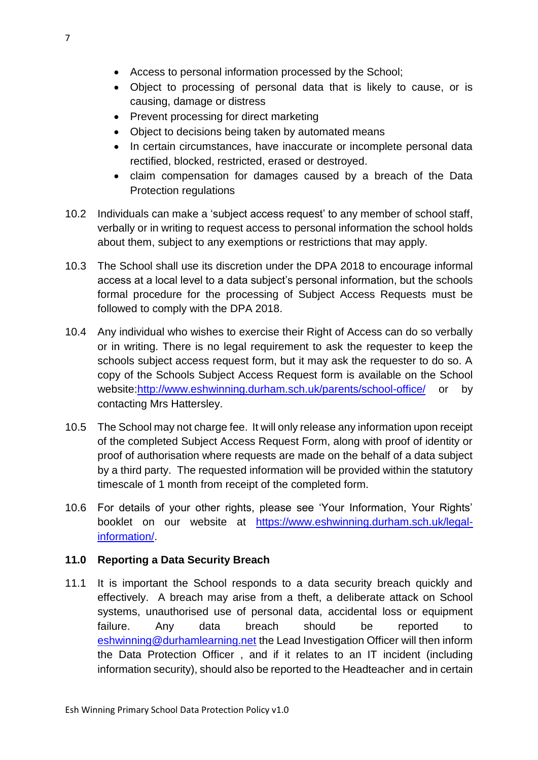- Access to personal information processed by the School;
- Object to processing of personal data that is likely to cause, or is causing, damage or distress
- Prevent processing for direct marketing
- Object to decisions being taken by automated means
- In certain circumstances, have inaccurate or incomplete personal data rectified, blocked, restricted, erased or destroyed.
- claim compensation for damages caused by a breach of the Data Protection regulations
- 10.2 Individuals can make a 'subject access request' to any member of school staff, verbally or in writing to request access to personal information the school holds about them, subject to any exemptions or restrictions that may apply.
- 10.3 The School shall use its discretion under the DPA 2018 to encourage informal access at a local level to a data subject's personal information, but the schools formal procedure for the processing of Subject Access Requests must be followed to comply with the DPA 2018.
- 10.4 Any individual who wishes to exercise their Right of Access can do so verbally or in writing. There is no legal requirement to ask the requester to keep the schools subject access request form, but it may ask the requester to do so. A copy of the Schools Subject Access Request form is available on the School website[:http://www.eshwinning.durham.sch.uk/parents/school-office/](http://www.eshwinning.durham.sch.uk/parents/school-office/) or by contacting Mrs Hattersley.
- 10.5 The School may not charge fee. It will only release any information upon receipt of the completed Subject Access Request Form, along with proof of identity or proof of authorisation where requests are made on the behalf of a data subject by a third party. The requested information will be provided within the statutory timescale of 1 month from receipt of the completed form.
- 10.6 For details of your other rights, please see 'Your Information, Your Rights' booklet on our website at [https://www.eshwinning.durham.sch.uk/legal](https://www.eshwinning.durham.sch.uk/legal-information/)[information/.](https://www.eshwinning.durham.sch.uk/legal-information/)

## **11.0 Reporting a Data Security Breach**

11.1 It is important the School responds to a data security breach quickly and effectively. A breach may arise from a theft, a deliberate attack on School systems, unauthorised use of personal data, accidental loss or equipment failure. Any data breach should be reported to [eshwinning@durhamlearning.net](mailto:eshwinning@durhamlearning.net) the Lead Investigation Officer will then inform the Data Protection Officer , and if it relates to an IT incident (including information security), should also be reported to the Headteacher and in certain